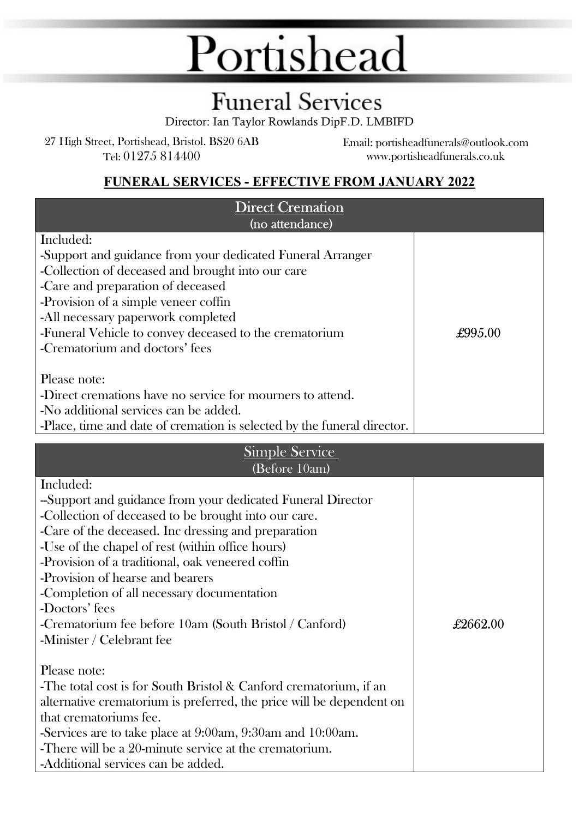## Portishead

### **Funeral Services**

Director: Ian Taylor Rowlands DipF.D. LMBIFD

27 High Street, Portishead, Bristol. BS20 6AB Tel: 01275 814400

Email: portisheadfunerals@outlook.com www.portisheadfunerals.co.uk

#### FUNERAL SERVICES - EFFECTIVE FROM JANUARY 2022

| <b>Direct Cremation</b><br>(no attendance)                                                                                                                                                                                                                                                                                                                                                                                                                                                                                                                                                                                                                                                                                                                                                                                                     |          |
|------------------------------------------------------------------------------------------------------------------------------------------------------------------------------------------------------------------------------------------------------------------------------------------------------------------------------------------------------------------------------------------------------------------------------------------------------------------------------------------------------------------------------------------------------------------------------------------------------------------------------------------------------------------------------------------------------------------------------------------------------------------------------------------------------------------------------------------------|----------|
| Included:<br>-Support and guidance from your dedicated Funeral Arranger<br>-Collection of deceased and brought into our care<br>-Care and preparation of deceased<br>-Provision of a simple veneer coffin<br>-All necessary paperwork completed<br>-Funeral Vehicle to convey deceased to the crematorium<br>-Crematorium and doctors' fees<br>Please note:<br>-Direct cremations have no service for mourners to attend.<br>-No additional services can be added.                                                                                                                                                                                                                                                                                                                                                                             | £995.00  |
| -Place, time and date of cremation is selected by the funeral director.<br><b>Simple Service</b><br>(Before 10am)                                                                                                                                                                                                                                                                                                                                                                                                                                                                                                                                                                                                                                                                                                                              |          |
| Included:<br>-Support and guidance from your dedicated Funeral Director<br>-Collection of deceased to be brought into our care.<br>-Care of the deceased. Inc dressing and preparation<br>-Use of the chapel of rest (within office hours)<br>-Provision of a traditional, oak veneered coffin<br>-Provision of hearse and bearers<br>-Completion of all necessary documentation<br>-Doctors' fees<br>-Crematorium fee before 10am (South Bristol / Canford)<br>-Minister / Celebrant fee<br>Please note:<br>-The total cost is for South Bristol & Canford crematorium, if an<br>alternative crematorium is preferred, the price will be dependent on<br>that crematoriums fee.<br>-Services are to take place at 9:00am, 9:30am and 10:00am.<br>-There will be a 20-minute service at the crematorium.<br>-Additional services can be added. | £2662.00 |